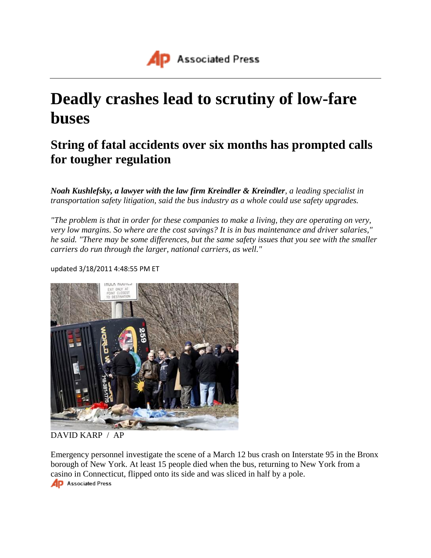

# **Deadly crashes lead to scrutiny of low-fare buses**

## **String of fatal accidents over six months has prompted calls for tougher regulation**

*Noah Kushlefsky, a lawyer with the law firm Kreindler & Kreindler, a leading specialist in transportation safety litigation, said the bus industry as a whole could use safety upgrades.*

*"The problem is that in order for these companies to make a living, they are operating on very, very low margins. So where are the cost savings? It is in bus maintenance and driver salaries," he said. "There may be some differences, but the same safety issues that you see with the smaller carriers do run through the larger, national carriers, as well."*

updated 3/18/2011 4:48:55 PM ET



DAVID KARP / AP

Emergency personnel investigate the scene of a March 12 bus crash on Interstate 95 in the Bronx borough of New York. At least 15 people died when the bus, returning to New York from a casino in Connecticut, flipped onto its side and was sliced in half by a pole.**P** Associated Press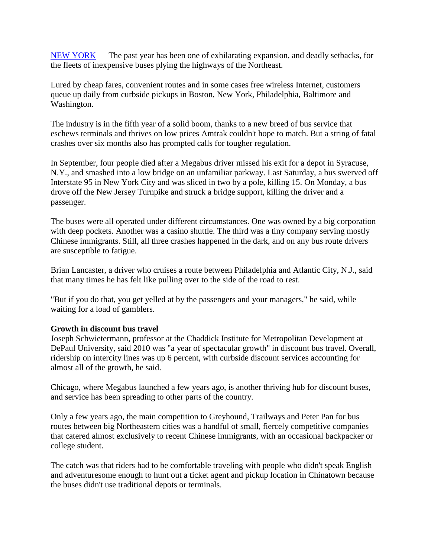[NEW YORK](http://www.bing.com/maps/?v=2&where1=NEW%20YORK&sty=h&form=msdate) — The past year has been one of exhilarating expansion, and deadly setbacks, for the fleets of inexpensive buses plying the highways of the Northeast.

Lured by cheap fares, convenient routes and in some cases free wireless Internet, customers queue up daily from curbside pickups in Boston, New York, Philadelphia, Baltimore and Washington.

The industry is in the fifth year of a solid boom, thanks to a new breed of bus service that eschews terminals and thrives on low prices Amtrak couldn't hope to match. But a string of fatal crashes over six months also has prompted calls for tougher regulation.

In September, four people died after a Megabus driver missed his exit for a depot in Syracuse, N.Y., and smashed into a low bridge on an unfamiliar parkway. Last Saturday, a bus swerved off Interstate 95 in New York City and was sliced in two by a pole, killing 15. On Monday, a bus drove off the New Jersey Turnpike and struck a bridge support, killing the driver and a passenger.

The buses were all operated under different circumstances. One was owned by a big corporation with deep pockets. Another was a casino shuttle. The third was a tiny company serving mostly Chinese immigrants. Still, all three crashes happened in the dark, and on any bus route drivers are susceptible to fatigue.

Brian Lancaster, a driver who cruises a route between Philadelphia and Atlantic City, N.J., said that many times he has felt like pulling over to the side of the road to rest.

"But if you do that, you get yelled at by the passengers and your managers," he said, while waiting for a load of gamblers.

### **Growth in discount bus travel**

Joseph Schwietermann, professor at the Chaddick Institute for Metropolitan Development at DePaul University, said 2010 was "a year of spectacular growth" in discount bus travel. Overall, ridership on intercity lines was up 6 percent, with curbside discount services accounting for almost all of the growth, he said.

Chicago, where Megabus launched a few years ago, is another thriving hub for discount buses, and service has been spreading to other parts of the country.

Only a few years ago, the main competition to Greyhound, Trailways and Peter Pan for bus routes between big Northeastern cities was a handful of small, fiercely competitive companies that catered almost exclusively to recent Chinese immigrants, with an occasional backpacker or college student.

The catch was that riders had to be comfortable traveling with people who didn't speak English and adventuresome enough to hunt out a ticket agent and pickup location in Chinatown because the buses didn't use traditional depots or terminals.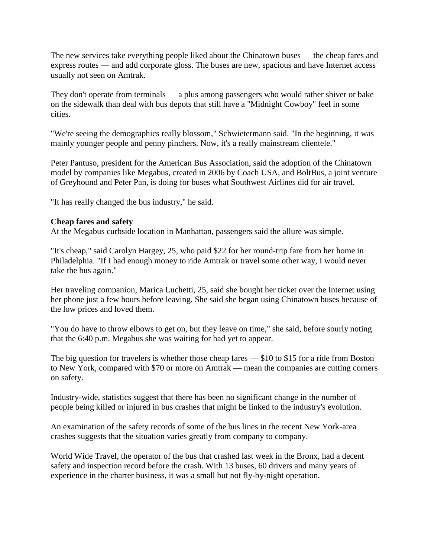The new services take everything people liked about the Chinatown buses — the cheap fares and express routes — and add corporate gloss. The buses are new, spacious and have Internet access usually not seen on Amtrak.

They don't operate from terminals — a plus among passengers who would rather shiver or bake on the sidewalk than deal with bus depots that still have a "Midnight Cowboy" feel in some cities.

"We're seeing the demographics really blossom," Schwietermann said. "In the beginning, it was mainly younger people and penny pinchers. Now, it's a really mainstream clientele."

Peter Pantuso, president for the American Bus Association, said the adoption of the Chinatown model by companies like Megabus, created in 2006 by Coach USA, and BoltBus, a joint venture of Greyhound and Peter Pan, is doing for buses what Southwest Airlines did for air travel.

"It has really changed the bus industry," he said.

#### **Cheap fares and safety**

At the Megabus curbside location in Manhattan, passengers said the allure was simple.

"It's cheap," said Carolyn Hargey, 25, who paid \$22 for her round-trip fare from her home in Philadelphia. "If I had enough money to ride Amtrak or travel some other way, I would never take the bus again."

Her traveling companion, Marica Luchetti, 25, said she bought her ticket over the Internet using her phone just a few hours before leaving. She said she began using Chinatown buses because of the low prices and loved them.

"You do have to throw elbows to get on, but they leave on time," she said, before sourly noting that the 6:40 p.m. Megabus she was waiting for had yet to appear.

The big question for travelers is whether those cheap fares — \$10 to \$15 for a ride from Boston to New York, compared with \$70 or more on Amtrak — mean the companies are cutting corners on safety.

Industry-wide, statistics suggest that there has been no significant change in the number of people being killed or injured in bus crashes that might be linked to the industry's evolution.

An examination of the safety records of some of the bus lines in the recent New York-area crashes suggests that the situation varies greatly from company to company.

World Wide Travel, the operator of the bus that crashed last week in the Bronx, had a decent safety and inspection record before the crash. With 13 buses, 60 drivers and many years of experience in the charter business, it was a small but not fly-by-night operation.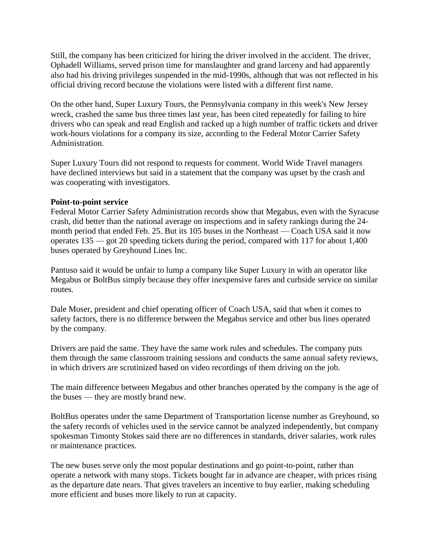Still, the company has been criticized for hiring the driver involved in the accident. The driver, Ophadell Williams, served prison time for manslaughter and grand larceny and had apparently also had his driving privileges suspended in the mid-1990s, although that was not reflected in his official driving record because the violations were listed with a different first name.

On the other hand, Super Luxury Tours, the Pennsylvania company in this week's New Jersey wreck, crashed the same bus three times last year, has been cited repeatedly for failing to hire drivers who can speak and read English and racked up a high number of traffic tickets and driver work-hours violations for a company its size, according to the Federal Motor Carrier Safety Administration.

Super Luxury Tours did not respond to requests for comment. World Wide Travel managers have declined interviews but said in a statement that the company was upset by the crash and was cooperating with investigators.

#### **Point-to-point service**

Federal Motor Carrier Safety Administration records show that Megabus, even with the Syracuse crash, did better than the national average on inspections and in safety rankings during the 24 month period that ended Feb. 25. But its 105 buses in the Northeast — Coach USA said it now operates 135 — got 20 speeding tickets during the period, compared with 117 for about 1,400 buses operated by Greyhound Lines Inc.

Pantuso said it would be unfair to lump a company like Super Luxury in with an operator like Megabus or BoltBus simply because they offer inexpensive fares and curbside service on similar routes.

Dale Moser, president and chief operating officer of Coach USA, said that when it comes to safety factors, there is no difference between the Megabus service and other bus lines operated by the company.

Drivers are paid the same. They have the same work rules and schedules. The company puts them through the same classroom training sessions and conducts the same annual safety reviews, in which drivers are scrutinized based on video recordings of them driving on the job.

The main difference between Megabus and other branches operated by the company is the age of the buses — they are mostly brand new.

BoltBus operates under the same Department of Transportation license number as Greyhound, so the safety records of vehicles used in the service cannot be analyzed independently, but company spokesman Timonty Stokes said there are no differences in standards, driver salaries, work rules or maintenance practices.

The new buses serve only the most popular destinations and go point-to-point, rather than operate a network with many stops. Tickets bought far in advance are cheaper, with prices rising as the departure date nears. That gives travelers an incentive to buy earlier, making scheduling more efficient and buses more likely to run at capacity.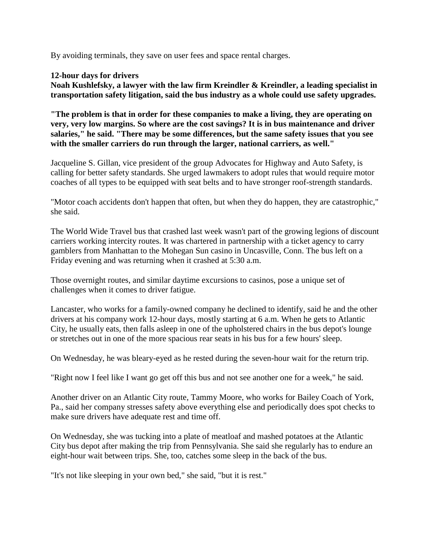By avoiding terminals, they save on user fees and space rental charges.

#### **12-hour days for drivers**

**Noah Kushlefsky, a lawyer with the law firm Kreindler & Kreindler, a leading specialist in transportation safety litigation, said the bus industry as a whole could use safety upgrades.**

**"The problem is that in order for these companies to make a living, they are operating on very, very low margins. So where are the cost savings? It is in bus maintenance and driver salaries," he said. "There may be some differences, but the same safety issues that you see with the smaller carriers do run through the larger, national carriers, as well."**

Jacqueline S. Gillan, vice president of the group Advocates for Highway and Auto Safety, is calling for better safety standards. She urged lawmakers to adopt rules that would require motor coaches of all types to be equipped with seat belts and to have stronger roof-strength standards.

"Motor coach accidents don't happen that often, but when they do happen, they are catastrophic," she said.

The World Wide Travel bus that crashed last week wasn't part of the growing legions of discount carriers working intercity routes. It was chartered in partnership with a ticket agency to carry gamblers from Manhattan to the Mohegan Sun casino in Uncasville, Conn. The bus left on a Friday evening and was returning when it crashed at 5:30 a.m.

Those overnight routes, and similar daytime excursions to casinos, pose a unique set of challenges when it comes to driver fatigue.

Lancaster, who works for a family-owned company he declined to identify, said he and the other drivers at his company work 12-hour days, mostly starting at 6 a.m. When he gets to Atlantic City, he usually eats, then falls asleep in one of the upholstered chairs in the bus depot's lounge or stretches out in one of the more spacious rear seats in his bus for a few hours' sleep.

On Wednesday, he was bleary-eyed as he rested during the seven-hour wait for the return trip.

"Right now I feel like I want go get off this bus and not see another one for a week," he said.

Another driver on an Atlantic City route, Tammy Moore, who works for Bailey Coach of York, Pa., said her company stresses safety above everything else and periodically does spot checks to make sure drivers have adequate rest and time off.

On Wednesday, she was tucking into a plate of meatloaf and mashed potatoes at the Atlantic City bus depot after making the trip from Pennsylvania. She said she regularly has to endure an eight-hour wait between trips. She, too, catches some sleep in the back of the bus.

"It's not like sleeping in your own bed," she said, "but it is rest."